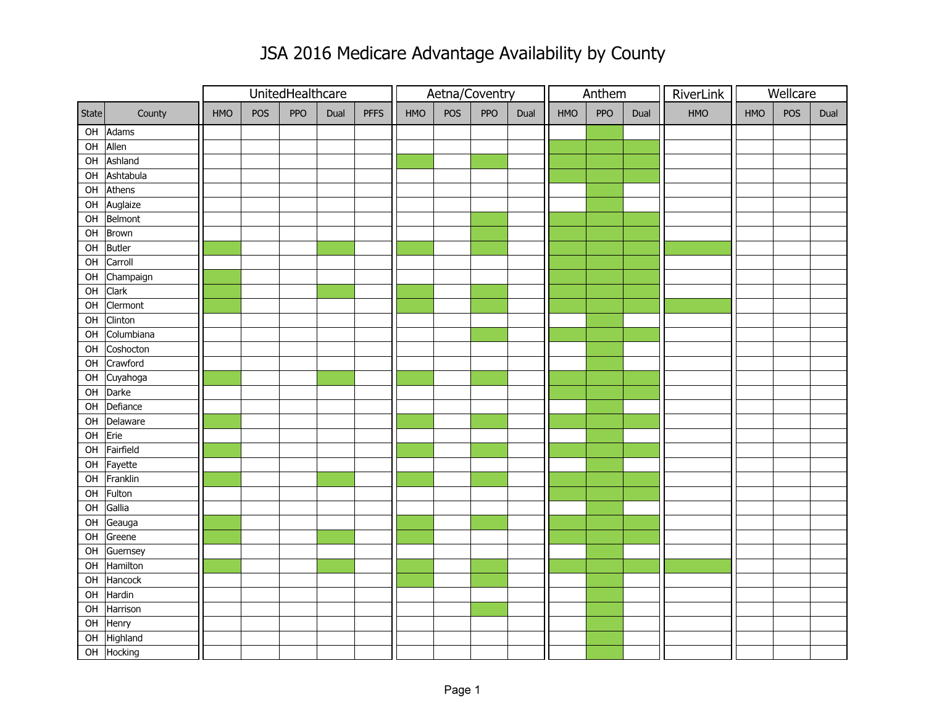## JSA 2016 Medicare Advantage Availability by County

|       |                        |     |     | UnitedHealthcare |      |             |     |     | Aetna/Coventry |      |     | Anthem     |      | RiverLink |     | Wellcare |      |  |
|-------|------------------------|-----|-----|------------------|------|-------------|-----|-----|----------------|------|-----|------------|------|-----------|-----|----------|------|--|
| State | County                 | HMO | POS | PPO              | Dual | <b>PFFS</b> | HMO | POS | PPO            | Dual | HMO | <b>PPO</b> | Dual | HMO       | HMO | POS      | Dual |  |
|       | OH Adams               |     |     |                  |      |             |     |     |                |      |     |            |      |           |     |          |      |  |
|       | OH Allen               |     |     |                  |      |             |     |     |                |      |     |            |      |           |     |          |      |  |
|       | OH Ashland             |     |     |                  |      |             |     |     |                |      |     |            |      |           |     |          |      |  |
|       | OH Ashtabula           |     |     |                  |      |             |     |     |                |      |     |            |      |           |     |          |      |  |
|       | $OH$ Athens            |     |     |                  |      |             |     |     |                |      |     |            |      |           |     |          |      |  |
|       | OH Auglaize            |     |     |                  |      |             |     |     |                |      |     |            |      |           |     |          |      |  |
|       | OH Belmont             |     |     |                  |      |             |     |     |                |      |     |            |      |           |     |          |      |  |
|       | OH Brown               |     |     |                  |      |             |     |     |                |      |     |            |      |           |     |          |      |  |
|       | OH Butler              |     |     |                  |      |             |     |     |                |      |     |            |      |           |     |          |      |  |
| OH    | Carroll                |     |     |                  |      |             |     |     |                |      |     |            |      |           |     |          |      |  |
|       | OH Champaign           |     |     |                  |      |             |     |     |                |      |     |            |      |           |     |          |      |  |
|       | OH Clark               |     |     |                  |      |             |     |     |                |      |     |            |      |           |     |          |      |  |
| OH    | Clermont               |     |     |                  |      |             |     |     |                |      |     |            |      |           |     |          |      |  |
| OH    | Clinton                |     |     |                  |      |             |     |     |                |      |     |            |      |           |     |          |      |  |
| OH    | Columbiana             |     |     |                  |      |             |     |     |                |      |     |            |      |           |     |          |      |  |
| OH    | Coshocton              |     |     |                  |      |             |     |     |                |      |     |            |      |           |     |          |      |  |
| OH    | Crawford               |     |     |                  |      |             |     |     |                |      |     |            |      |           |     |          |      |  |
| OH    | Cuyahoga               |     |     |                  |      |             |     |     |                |      |     |            |      |           |     |          |      |  |
|       | OH Darke               |     |     |                  |      |             |     |     |                |      |     |            |      |           |     |          |      |  |
|       | OH Defiance            |     |     |                  |      |             |     |     |                |      |     |            |      |           |     |          |      |  |
| OH    | Delaware               |     |     |                  |      |             |     |     |                |      |     |            |      |           |     |          |      |  |
| OH    | Erie                   |     |     |                  |      |             |     |     |                |      |     |            |      |           |     |          |      |  |
|       | OH Fairfield           |     |     |                  |      |             |     |     |                |      |     |            |      |           |     |          |      |  |
|       | OH Fayette             |     |     |                  |      |             |     |     |                |      |     |            |      |           |     |          |      |  |
|       | OH Franklin            |     |     |                  |      |             |     |     |                |      |     |            |      |           |     |          |      |  |
|       | OH Fulton              |     |     |                  |      |             |     |     |                |      |     |            |      |           |     |          |      |  |
|       | OH Gallia              |     |     |                  |      |             |     |     |                |      |     |            |      |           |     |          |      |  |
|       | $\overline{OH}$ Geauga |     |     |                  |      |             |     |     |                |      |     |            |      |           |     |          |      |  |
| OH    | Greene                 |     |     |                  |      |             |     |     |                |      |     |            |      |           |     |          |      |  |
| OH    | Guernsey               |     |     |                  |      |             |     |     |                |      |     |            |      |           |     |          |      |  |
| OH    | Hamilton               |     |     |                  |      |             |     |     |                |      |     |            |      |           |     |          |      |  |
| OH    | Hancock                |     |     |                  |      |             |     |     |                |      |     |            |      |           |     |          |      |  |
| OH    | Hardin                 |     |     |                  |      |             |     |     |                |      |     |            |      |           |     |          |      |  |
| OH    | Harrison               |     |     |                  |      |             |     |     |                |      |     |            |      |           |     |          |      |  |
|       | OH Henry               |     |     |                  |      |             |     |     |                |      |     |            |      |           |     |          |      |  |
| OH    | Highland               |     |     |                  |      |             |     |     |                |      |     |            |      |           |     |          |      |  |
|       | OH Hocking             |     |     |                  |      |             |     |     |                |      |     |            |      |           |     |          |      |  |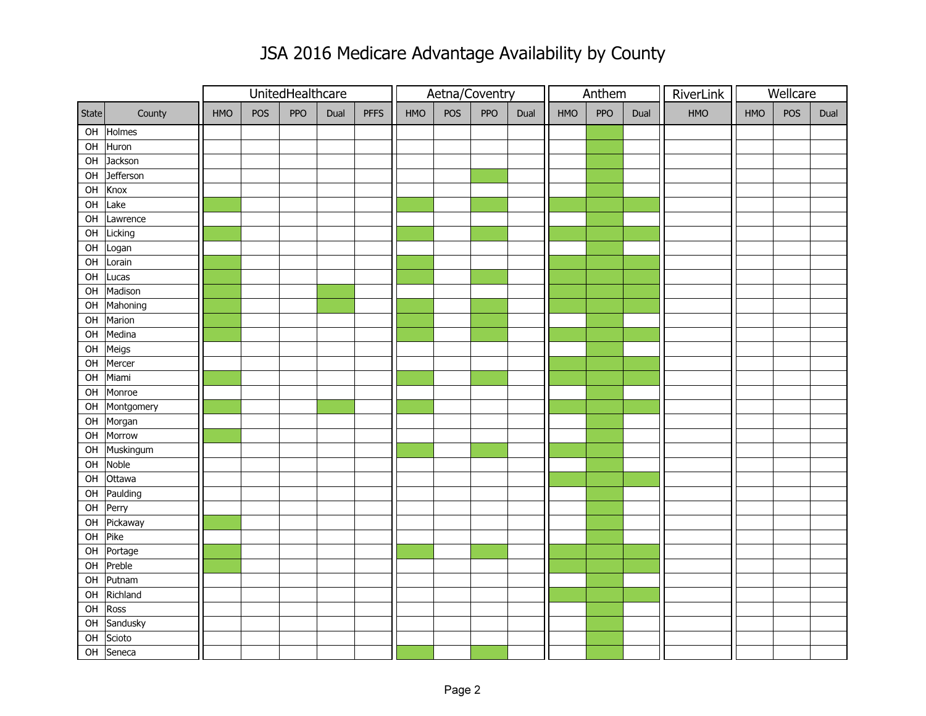## JSA 2016 Medicare Advantage Availability by County

|       |               |            |     | UnitedHealthcare |      |             |            |     | Aetna/Coventry |      |     | Anthem |      | RiverLink |            | Wellcare |      |  |
|-------|---------------|------------|-----|------------------|------|-------------|------------|-----|----------------|------|-----|--------|------|-----------|------------|----------|------|--|
| State | County        | <b>HMO</b> | POS | PPO              | Dual | <b>PFFS</b> | <b>HMO</b> | POS | PPO            | Dual | HMO | PPO    | Dual | HMO       | <b>HMO</b> | POS      | Dual |  |
|       | OH Holmes     |            |     |                  |      |             |            |     |                |      |     |        |      |           |            |          |      |  |
|       | OH Huron      |            |     |                  |      |             |            |     |                |      |     |        |      |           |            |          |      |  |
|       | OH Jackson    |            |     |                  |      |             |            |     |                |      |     |        |      |           |            |          |      |  |
| OH    | Jefferson     |            |     |                  |      |             |            |     |                |      |     |        |      |           |            |          |      |  |
| OH    | Knox          |            |     |                  |      |             |            |     |                |      |     |        |      |           |            |          |      |  |
| OH    | Lake          |            |     |                  |      |             |            |     |                |      |     |        |      |           |            |          |      |  |
| OH    | Lawrence      |            |     |                  |      |             |            |     |                |      |     |        |      |           |            |          |      |  |
| OH    | Licking       |            |     |                  |      |             |            |     |                |      |     |        |      |           |            |          |      |  |
| OH    | Logan         |            |     |                  |      |             |            |     |                |      |     |        |      |           |            |          |      |  |
|       | OH Lorain     |            |     |                  |      |             |            |     |                |      |     |        |      |           |            |          |      |  |
|       | OH Lucas      |            |     |                  |      |             |            |     |                |      |     |        |      |           |            |          |      |  |
| OH    | Madison       |            |     |                  |      |             |            |     |                |      |     |        |      |           |            |          |      |  |
| OH    | Mahoning      |            |     |                  |      |             |            |     |                |      |     |        |      |           |            |          |      |  |
| OH    | Marion        |            |     |                  |      |             |            |     |                |      |     |        |      |           |            |          |      |  |
| OH    | Medina        |            |     |                  |      |             |            |     |                |      |     |        |      |           |            |          |      |  |
| OH    | Meigs         |            |     |                  |      |             |            |     |                |      |     |        |      |           |            |          |      |  |
| OH    | Mercer        |            |     |                  |      |             |            |     |                |      |     |        |      |           |            |          |      |  |
| OH    | Miami         |            |     |                  |      |             |            |     |                |      |     |        |      |           |            |          |      |  |
| OH    | Monroe        |            |     |                  |      |             |            |     |                |      |     |        |      |           |            |          |      |  |
|       | OH Montgomery |            |     |                  |      |             |            |     |                |      |     |        |      |           |            |          |      |  |
|       | OH Morgan     |            |     |                  |      |             |            |     |                |      |     |        |      |           |            |          |      |  |
| OH    | Morrow        |            |     |                  |      |             |            |     |                |      |     |        |      |           |            |          |      |  |
|       | OH Muskingum  |            |     |                  |      |             |            |     |                |      |     |        |      |           |            |          |      |  |
|       | OH Noble      |            |     |                  |      |             |            |     |                |      |     |        |      |           |            |          |      |  |
| OH    | Ottawa        |            |     |                  |      |             |            |     |                |      |     |        |      |           |            |          |      |  |
|       | OH Paulding   |            |     |                  |      |             |            |     |                |      |     |        |      |           |            |          |      |  |
|       | OH Perry      |            |     |                  |      |             |            |     |                |      |     |        |      |           |            |          |      |  |
|       | OH Pickaway   |            |     |                  |      |             |            |     |                |      |     |        |      |           |            |          |      |  |
| OH    | Pike          |            |     |                  |      |             |            |     |                |      |     |        |      |           |            |          |      |  |
| OH    | Portage       |            |     |                  |      |             |            |     |                |      |     |        |      |           |            |          |      |  |
| OH    | Preble        |            |     |                  |      |             |            |     |                |      |     |        |      |           |            |          |      |  |
| OH    | Putnam        |            |     |                  |      |             |            |     |                |      |     |        |      |           |            |          |      |  |
| OH    | Richland      |            |     |                  |      |             |            |     |                |      |     |        |      |           |            |          |      |  |
| OH    | Ross          |            |     |                  |      |             |            |     |                |      |     |        |      |           |            |          |      |  |
|       | OH Sandusky   |            |     |                  |      |             |            |     |                |      |     |        |      |           |            |          |      |  |
|       | OH Scioto     |            |     |                  |      |             |            |     |                |      |     |        |      |           |            |          |      |  |
|       | OH Seneca     |            |     |                  |      |             |            |     |                |      |     |        |      |           |            |          |      |  |